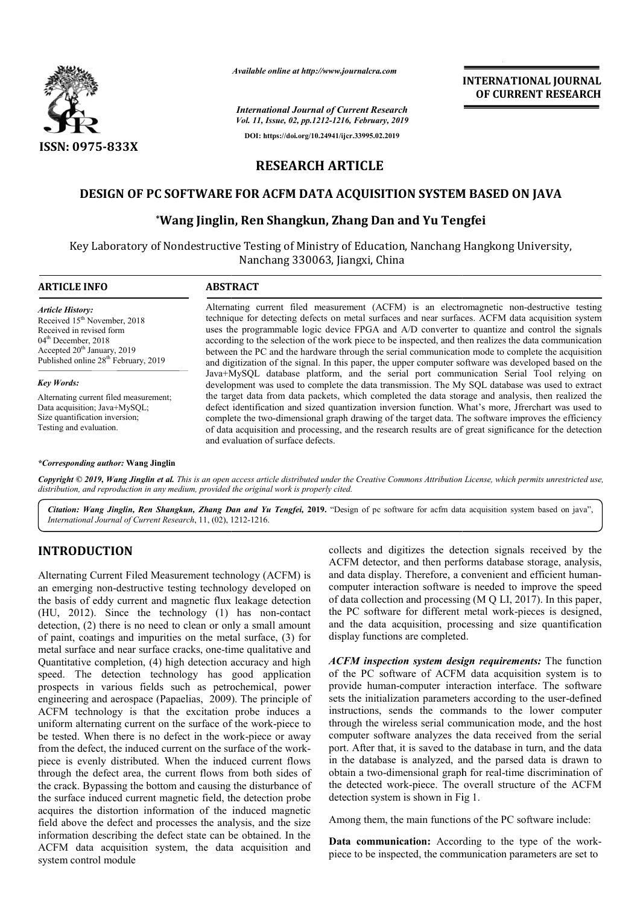

*Available online at http://www.journalcra.com*

**INTERNATIONAL IOURNAL OF CURRENT RESEARCH**

# **RESEARCH ARTICLE**

## DESIGN OF PC SOFTWARE FOR ACFM DATA ACQUISITION SYSTEM BASED ON JAVA

## **\*Wang Jinglin, Ren Shangkun, Zhang Dan and Yu Tengfei Wang Yu Tengfei**

|                                                                                                                                                                                                                                                                                                                                                                                                                                                                                                                                                                                                                                                                                                                                                                                                                                                                                                                                                                                                                                                                                                                                                                                                                                                                                                                                                                                                                  |                                                                                                                                                                                                                                                                                                                                                                                                                                                                      | <b>INTERNATIONAL JOURNAL</b><br>OF CURRENT RESEARCH                                                                                                                                                                                                                                                                                                                                                                                                                                                                                                                                                                                                                                                                                                                                                                          |  |
|------------------------------------------------------------------------------------------------------------------------------------------------------------------------------------------------------------------------------------------------------------------------------------------------------------------------------------------------------------------------------------------------------------------------------------------------------------------------------------------------------------------------------------------------------------------------------------------------------------------------------------------------------------------------------------------------------------------------------------------------------------------------------------------------------------------------------------------------------------------------------------------------------------------------------------------------------------------------------------------------------------------------------------------------------------------------------------------------------------------------------------------------------------------------------------------------------------------------------------------------------------------------------------------------------------------------------------------------------------------------------------------------------------------|----------------------------------------------------------------------------------------------------------------------------------------------------------------------------------------------------------------------------------------------------------------------------------------------------------------------------------------------------------------------------------------------------------------------------------------------------------------------|------------------------------------------------------------------------------------------------------------------------------------------------------------------------------------------------------------------------------------------------------------------------------------------------------------------------------------------------------------------------------------------------------------------------------------------------------------------------------------------------------------------------------------------------------------------------------------------------------------------------------------------------------------------------------------------------------------------------------------------------------------------------------------------------------------------------------|--|
|                                                                                                                                                                                                                                                                                                                                                                                                                                                                                                                                                                                                                                                                                                                                                                                                                                                                                                                                                                                                                                                                                                                                                                                                                                                                                                                                                                                                                  |                                                                                                                                                                                                                                                                                                                                                                                                                                                                      | <b>International Journal of Current Research</b>                                                                                                                                                                                                                                                                                                                                                                                                                                                                                                                                                                                                                                                                                                                                                                             |  |
|                                                                                                                                                                                                                                                                                                                                                                                                                                                                                                                                                                                                                                                                                                                                                                                                                                                                                                                                                                                                                                                                                                                                                                                                                                                                                                                                                                                                                  | Vol. 11, Issue, 02, pp.1212-1216, February, 2019<br>DOI: https://doi.org/10.24941/ijcr.33995.02.2019                                                                                                                                                                                                                                                                                                                                                                 |                                                                                                                                                                                                                                                                                                                                                                                                                                                                                                                                                                                                                                                                                                                                                                                                                              |  |
| ISSN: 0975-833X                                                                                                                                                                                                                                                                                                                                                                                                                                                                                                                                                                                                                                                                                                                                                                                                                                                                                                                                                                                                                                                                                                                                                                                                                                                                                                                                                                                                  |                                                                                                                                                                                                                                                                                                                                                                                                                                                                      |                                                                                                                                                                                                                                                                                                                                                                                                                                                                                                                                                                                                                                                                                                                                                                                                                              |  |
|                                                                                                                                                                                                                                                                                                                                                                                                                                                                                                                                                                                                                                                                                                                                                                                                                                                                                                                                                                                                                                                                                                                                                                                                                                                                                                                                                                                                                  |                                                                                                                                                                                                                                                                                                                                                                                                                                                                      | <b>RESEARCH ARTICLE</b>                                                                                                                                                                                                                                                                                                                                                                                                                                                                                                                                                                                                                                                                                                                                                                                                      |  |
|                                                                                                                                                                                                                                                                                                                                                                                                                                                                                                                                                                                                                                                                                                                                                                                                                                                                                                                                                                                                                                                                                                                                                                                                                                                                                                                                                                                                                  |                                                                                                                                                                                                                                                                                                                                                                                                                                                                      | DESIGN OF PC SOFTWARE FOR ACFM DATA ACQUISITION SYSTEM BASED ON JAVA                                                                                                                                                                                                                                                                                                                                                                                                                                                                                                                                                                                                                                                                                                                                                         |  |
|                                                                                                                                                                                                                                                                                                                                                                                                                                                                                                                                                                                                                                                                                                                                                                                                                                                                                                                                                                                                                                                                                                                                                                                                                                                                                                                                                                                                                  |                                                                                                                                                                                                                                                                                                                                                                                                                                                                      | *Wang Jinglin, Ren Shangkun, Zhang Dan and Yu Tengfei                                                                                                                                                                                                                                                                                                                                                                                                                                                                                                                                                                                                                                                                                                                                                                        |  |
|                                                                                                                                                                                                                                                                                                                                                                                                                                                                                                                                                                                                                                                                                                                                                                                                                                                                                                                                                                                                                                                                                                                                                                                                                                                                                                                                                                                                                  |                                                                                                                                                                                                                                                                                                                                                                                                                                                                      |                                                                                                                                                                                                                                                                                                                                                                                                                                                                                                                                                                                                                                                                                                                                                                                                                              |  |
|                                                                                                                                                                                                                                                                                                                                                                                                                                                                                                                                                                                                                                                                                                                                                                                                                                                                                                                                                                                                                                                                                                                                                                                                                                                                                                                                                                                                                  |                                                                                                                                                                                                                                                                                                                                                                                                                                                                      | Key Laboratory of Nondestructive Testing of Ministry of Education, Nanchang Hangkong University,<br>Nanchang 330063, Jiangxi, China                                                                                                                                                                                                                                                                                                                                                                                                                                                                                                                                                                                                                                                                                          |  |
| <b>ARTICLE INFO</b>                                                                                                                                                                                                                                                                                                                                                                                                                                                                                                                                                                                                                                                                                                                                                                                                                                                                                                                                                                                                                                                                                                                                                                                                                                                                                                                                                                                              | <b>ABSTRACT</b>                                                                                                                                                                                                                                                                                                                                                                                                                                                      |                                                                                                                                                                                                                                                                                                                                                                                                                                                                                                                                                                                                                                                                                                                                                                                                                              |  |
| <i><b>Article History:</b></i><br>Received 15 <sup>th</sup> November, 2018<br>Received in revised form<br>04 <sup>th</sup> December, 2018<br>Accepted 20 <sup>th</sup> January, 2019<br>Published online 28 <sup>th</sup> February, 2019                                                                                                                                                                                                                                                                                                                                                                                                                                                                                                                                                                                                                                                                                                                                                                                                                                                                                                                                                                                                                                                                                                                                                                         |                                                                                                                                                                                                                                                                                                                                                                                                                                                                      | Alternating current filed measurement (ACFM) is an electromagnetic non-destructive testing<br>technique for detecting defects on metal surfaces and near surfaces. ACFM data acquisition system<br>uses the programmable logic device FPGA and A/D converter to quantize and control the signals<br>according to the selection of the work piece to be inspected, and then realizes the data communication<br>between the PC and the hardware through the serial communication mode to complete the acquisition<br>and digitization of the signal. In this paper, the upper computer software was developed based on the                                                                                                                                                                                                     |  |
| <b>Key Words:</b>                                                                                                                                                                                                                                                                                                                                                                                                                                                                                                                                                                                                                                                                                                                                                                                                                                                                                                                                                                                                                                                                                                                                                                                                                                                                                                                                                                                                |                                                                                                                                                                                                                                                                                                                                                                                                                                                                      | Java+MySQL database platform, and the serial port communication Serial Tool relying on<br>development was used to complete the data transmission. The My SQL database was used to extract                                                                                                                                                                                                                                                                                                                                                                                                                                                                                                                                                                                                                                    |  |
| Alternating current filed measurement;<br>Data acquisition; Java+MySQL;<br>Size quantification inversion;<br>Testing and evaluation.                                                                                                                                                                                                                                                                                                                                                                                                                                                                                                                                                                                                                                                                                                                                                                                                                                                                                                                                                                                                                                                                                                                                                                                                                                                                             | the target data from data packets, which completed the data storage and analysis, then realized the<br>defect identification and sized quantization inversion function. What's more, Jfrerchart was used to<br>complete the two-dimensional graph drawing of the target data. The software improves the efficiency<br>of data acquisition and processing, and the research results are of great significance for the detection<br>and evaluation of surface defects. |                                                                                                                                                                                                                                                                                                                                                                                                                                                                                                                                                                                                                                                                                                                                                                                                                              |  |
| <i>*Corresponding author:</i> Wang Jinglin                                                                                                                                                                                                                                                                                                                                                                                                                                                                                                                                                                                                                                                                                                                                                                                                                                                                                                                                                                                                                                                                                                                                                                                                                                                                                                                                                                       |                                                                                                                                                                                                                                                                                                                                                                                                                                                                      |                                                                                                                                                                                                                                                                                                                                                                                                                                                                                                                                                                                                                                                                                                                                                                                                                              |  |
| distribution, and reproduction in any medium, provided the original work is properly cited.                                                                                                                                                                                                                                                                                                                                                                                                                                                                                                                                                                                                                                                                                                                                                                                                                                                                                                                                                                                                                                                                                                                                                                                                                                                                                                                      |                                                                                                                                                                                                                                                                                                                                                                                                                                                                      | Copyright © 2019, Wang Jinglin et al. This is an open access article distributed under the Creative Commons Attribution License, which permits unrestricted use,                                                                                                                                                                                                                                                                                                                                                                                                                                                                                                                                                                                                                                                             |  |
| International Journal of Current Research, 11, (02), 1212-1216.                                                                                                                                                                                                                                                                                                                                                                                                                                                                                                                                                                                                                                                                                                                                                                                                                                                                                                                                                                                                                                                                                                                                                                                                                                                                                                                                                  |                                                                                                                                                                                                                                                                                                                                                                                                                                                                      | Citation: Wang Jinglin, Ren Shangkun, Zhang Dan and Yu Tengfei, 2019. "Design of pc software for acfm data acquisition system based on java",                                                                                                                                                                                                                                                                                                                                                                                                                                                                                                                                                                                                                                                                                |  |
| <b>INTRODUCTION</b><br>Alternating Current Filed Measurement technology (ACFM) is<br>an emerging non-destructive testing technology developed on<br>the basis of eddy current and magnetic flux leakage detection<br>(HU, 2012). Since the technology (1) has non-contact<br>detection, (2) there is no need to clean or only a small amount<br>of paint, coatings and impurities on the metal surface, (3) for<br>metal surface and near surface cracks, one-time qualitative and<br>Quantitative completion, (4) high detection accuracy and high<br>speed. The detection technology has good application<br>prospects in various fields such as petrochemical, power<br>engineering and aerospace (Papaelias, 2009). The principle of<br>ACFM technology is that the excitation probe induces a<br>uniform alternating current on the surface of the work-piece to<br>be tested. When there is no defect in the work-piece or away<br>from the defect, the induced current on the surface of the work-<br>piece is evenly distributed. When the induced current flows<br>through the defect area, the current flows from both sides of<br>the crack. Bypassing the bottom and causing the disturbance of<br>the surface induced current magnetic field, the detection probe<br>acquires the distortion information of the induced magnetic<br>field above the defect and processes the analysis, and the size |                                                                                                                                                                                                                                                                                                                                                                                                                                                                      | collects and digitizes the detection signals received by the<br>ACFM detector, and then performs database storage, analysis,                                                                                                                                                                                                                                                                                                                                                                                                                                                                                                                                                                                                                                                                                                 |  |
|                                                                                                                                                                                                                                                                                                                                                                                                                                                                                                                                                                                                                                                                                                                                                                                                                                                                                                                                                                                                                                                                                                                                                                                                                                                                                                                                                                                                                  |                                                                                                                                                                                                                                                                                                                                                                                                                                                                      | and data display. Therefore, a convenient and efficient human-<br>computer interaction software is needed to improve the speed<br>of data collection and processing (M Q LI, 2017). In this paper,<br>the PC software for different metal work-pieces is designed,<br>and the data acquisition, processing and size quantification<br>display functions are completed.                                                                                                                                                                                                                                                                                                                                                                                                                                                       |  |
|                                                                                                                                                                                                                                                                                                                                                                                                                                                                                                                                                                                                                                                                                                                                                                                                                                                                                                                                                                                                                                                                                                                                                                                                                                                                                                                                                                                                                  |                                                                                                                                                                                                                                                                                                                                                                                                                                                                      | ACFM inspection system design requirements: The function<br>of the PC software of ACFM data acquisition system is to<br>provide human-computer interaction interface. The software<br>sets the initialization parameters according to the user-defined<br>instructions, sends the commands to the lower computer<br>through the wireless serial communication mode, and the host<br>computer software analyzes the data received from the serial<br>port. After that, it is saved to the database in turn, and the data<br>in the database is analyzed, and the parsed data is drawn to<br>obtain a two-dimensional graph for real-time discrimination of<br>the detected work-piece. The overall structure of the ACFM<br>detection system is shown in Fig 1.<br>Among them, the main functions of the PC software include: |  |
| information describing the defect state can be obtained. In the<br>ACFM data acquisition system, the data acquisition and<br>guatam aantral madula                                                                                                                                                                                                                                                                                                                                                                                                                                                                                                                                                                                                                                                                                                                                                                                                                                                                                                                                                                                                                                                                                                                                                                                                                                                               |                                                                                                                                                                                                                                                                                                                                                                                                                                                                      | Data communication: According to the type of the work-<br>piece to be inspected, the communication parameters are set to                                                                                                                                                                                                                                                                                                                                                                                                                                                                                                                                                                                                                                                                                                     |  |

#### *\*Corresponding author:* **Wang Jinglin**

## **INTRODUCTION**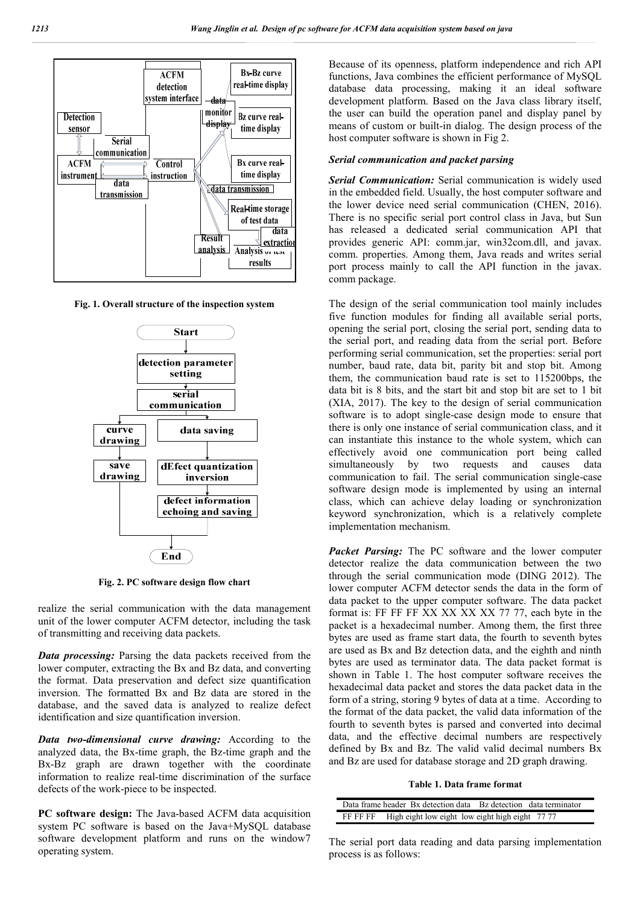

**Fig. 1. Overall structure of the inspection system**



**Fig. 2. PC software design flow chart**

realize the serial communication with the data management unit of the lower computer ACFM detector, including the task of transmitting and receiving data packets.

*Data processing:* Parsing the data packets received from the lower computer, extracting the Bx and Bz data, and converting the format. Data preservation and defect size quantification inversion. The formatted Bx and Bz data are stored in the database, and the saved data is analyzed to realize defect identification and size quantification inversion.

*Data two-dimensional curve drawing:* According to the analyzed data, the Bx-time graph, the Bz-time graph and the Bx-Bz graph are drawn together with the coordinate information to realize real-time discrimination of the surface defects of the work-piece to be inspected.

**PC software design:** The Java-based ACFM data acquisition system PC software is based on the Java+MySQL database software development platform and runs on the window7 operating system.

Because of its openness, platform independence and rich API functions, Java combines the efficient performance of MySQL database data processing, making it an ideal software development platform. Based on the Java class library itself, the user can build the operation panel and display panel by means of custom or built-in dialog. The design process of the host computer software is shown in Fig 2.

### *Serial communication and packet parsing*

*Serial Communication:* Serial communication is widely used in the embedded field. Usually, the host computer software and the lower device need serial communication (CHEN, 2016). There is no specific serial port control class in Java, but Sun has released a dedicated serial communication API that provides generic API: comm.jar, win32com.dll, and javax. comm. properties. Among them, Java reads and writes serial port process mainly to call the API function in the javax. comm package.

The design of the serial communication tool mainly includes five function modules for finding all available serial ports, opening the serial port, closing the serial port, sending data to the serial port, and reading data from the serial port. Before performing serial communication, set the properties: serial port number, baud rate, data bit, parity bit and stop bit. Among them, the communication baud rate is set to 115200bps, the data bit is 8 bits, and the start bit and stop bit are set to 1 bit (XIA, 2017). The key to the design of serial communication software is to adopt single-case design mode to ensure that there is only one instance of serial communication class, and it can instantiate this instance to the whole system, which can effectively avoid one communication port being called simultaneously by two requests and causes data communication to fail. The serial communication single-case software design mode is implemented by using an internal class, which can achieve delay loading or synchronization keyword synchronization, which is a relatively complete implementation mechanism.

*Packet Parsing:* The PC software and the lower computer detector realize the data communication between the two through the serial communication mode (DING 2012). The lower computer ACFM detector sends the data in the form of data packet to the upper computer software. The data packet format is: FF FF FF XX XX XX XX 77 77, each byte in the packet is a hexadecimal number. Among them, the first three bytes are used as frame start data, the fourth to seventh bytes are used as Bx and Bz detection data, and the eighth and ninth bytes are used as terminator data. The data packet format is shown in Table 1. The host computer software receives the hexadecimal data packet and stores the data packet data in the form of a string, storing 9 bytes of data at a time. According to the format of the data packet, the valid data information of the fourth to seventh bytes is parsed and converted into decimal data, and the effective decimal numbers are respectively defined by Bx and Bz. The valid valid decimal numbers Bx and Bz are used for database storage and 2D graph drawing.

### **Table 1. Data frame format**

|                                                             | Data frame header Bx detection data Bz detection data terminator |  |  |
|-------------------------------------------------------------|------------------------------------------------------------------|--|--|
| High eight low eight low eight high eight 77 77<br>FF FF FF |                                                                  |  |  |

The serial port data reading and data parsing implementation process is as follows: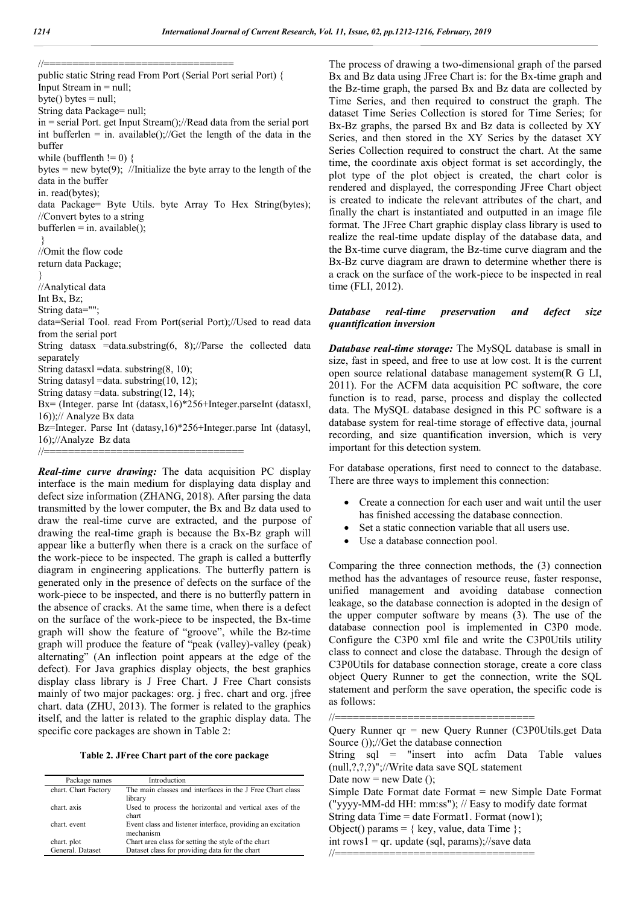//================================= public static String read From Port (Serial Port serial Port) { Input Stream in  $=$  null;  $byte() bytes = null;$ String data Package= null; in = serial Port. get Input Stream();//Read data from the serial port int bufferlen = in. available();//Get the length of the data in the buffer while (bufflenth  $!= 0$ ) { bytes = new byte(9); //Initialize the byte array to the length of the data in the buffer in. read(bytes); data Package= Byte Utils. byte Array To Hex String(bytes); //Convert bytes to a string  $bufferlen = in. available$ ); } //Omit the flow code return data Package; } //Analytical data Int Bx, Bz; String data=""; data=Serial Tool. read From Port(serial Port);//Used to read data from the serial port String datasx =data.substring(6, 8);//Parse the collected data separately String datasxl =data. substring $(8, 10)$ ; String datasyl =data. substring(10, 12); String datasy =data. substring(12, 14); Bx= (Integer. parse Int (datasx,16)\*256+Integer.parseInt (datasxl, 16));// Analyze Bx data Bz=Integer. Parse Int (datasy,16)\*256+Integer.parse Int (datasyl, 16);//Analyze Bz data //=================================

*Real-time curve drawing:* The data acquisition PC display interface is the main medium for displaying data display and defect size information (ZHANG, 2018). After parsing the data transmitted by the lower computer, the Bx and Bz data used to draw the real-time curve are extracted, and the purpose of drawing the real-time graph is because the Bx-Bz graph will appear like a butterfly when there is a crack on the surface of the work-piece to be inspected. The graph is called a butterfly diagram in engineering applications. The butterfly pattern is generated only in the presence of defects on the surface of the work-piece to be inspected, and there is no butterfly pattern in the absence of cracks. At the same time, when there is a defect on the surface of the work-piece to be inspected, the Bx-time graph will show the feature of "groove", while the Bz-time graph will produce the feature of "peak (valley)-valley (peak) alternating" (An inflection point appears at the edge of the defect). For Java graphics display objects, the best graphics display class library is J Free Chart. J Free Chart consists mainly of two major packages: org. j frec. chart and org. jfree chart. data (ZHU, 2013). The former is related to the graphics itself, and the latter is related to the graphic display data. The specific core packages are shown in Table 2:

|  |  | Table 2. JFree Chart part of the core package |
|--|--|-----------------------------------------------|
|--|--|-----------------------------------------------|

| Package names        | Introduction                                                |
|----------------------|-------------------------------------------------------------|
| chart. Chart Factory | The main classes and interfaces in the J Free Chart class   |
|                      | library                                                     |
| chart. axis          | Used to process the horizontal and vertical axes of the     |
|                      | chart                                                       |
| chart. event         | Event class and listener interface, providing an excitation |
|                      | mechanism                                                   |
| chart. plot          | Chart area class for setting the style of the chart         |
| General. Dataset     | Dataset class for providing data for the chart              |

The process of drawing a two-dimensional graph of the parsed Bx and Bz data using JFree Chart is: for the Bx-time graph and the Bz-time graph, the parsed Bx and Bz data are collected by Time Series, and then required to construct the graph. The dataset Time Series Collection is stored for Time Series; for Bx-Bz graphs, the parsed Bx and Bz data is collected by XY Series, and then stored in the XY Series by the dataset XY Series Collection required to construct the chart. At the same time, the coordinate axis object format is set accordingly, the plot type of the plot object is created, the chart color is rendered and displayed, the corresponding JFree Chart object is created to indicate the relevant attributes of the chart, and finally the chart is instantiated and outputted in an image file format. The JFree Chart graphic display class library is used to realize the real-time update display of the database data, and the Bx-time curve diagram, the Bz-time curve diagram and the Bx-Bz curve diagram are drawn to determine whether there is a crack on the surface of the work-piece to be inspected in real time (FLI, 2012).

### *Database real-time preservation and defect size quantification inversion*

*Database real-time storage:* The MySQL database is small in size, fast in speed, and free to use at low cost. It is the current open source relational database management system(R G LI, 2011). For the ACFM data acquisition PC software, the core function is to read, parse, process and display the collected data. The MySQL database designed in this PC software is a database system for real-time storage of effective data, journal recording, and size quantification inversion, which is very important for this detection system.

For database operations, first need to connect to the database. There are three ways to implement this connection:

- Create a connection for each user and wait until the user has finished accessing the database connection.
- Set a static connection variable that all users use.
- Use a database connection pool.

Comparing the three connection methods, the (3) connection method has the advantages of resource reuse, faster response, unified management and avoiding database connection leakage, so the database connection is adopted in the design of the upper computer software by means (3). The use of the database connection pool is implemented in C3P0 mode. Configure the C3P0 xml file and write the C3P0Utils utility class to connect and close the database. Through the design of C3P0Utils for database connection storage, create a core class object Query Runner to get the connection, write the SQL statement and perform the save operation, the specific code is as follows:

Query Runner qr = new Query Runner (C3P0Utils.get Data Source ());//Get the database connection

String sql = "insert into acfm Data Table values (null,?,?,?)";//Write data save SQL statement

Date now  $=$  new Date ();

Simple Date Format date Format = new Simple Date Format ("yyyy-MM-dd HH: mm:ss"); // Easy to modify date format

String data Time = date Format1. Format (now1);

//=================================

Object() params =  $\{ \text{key}, \text{value}, \text{data Time} \};$ 

int rows $1 = qr$ . update (sql, params);//save data //=================================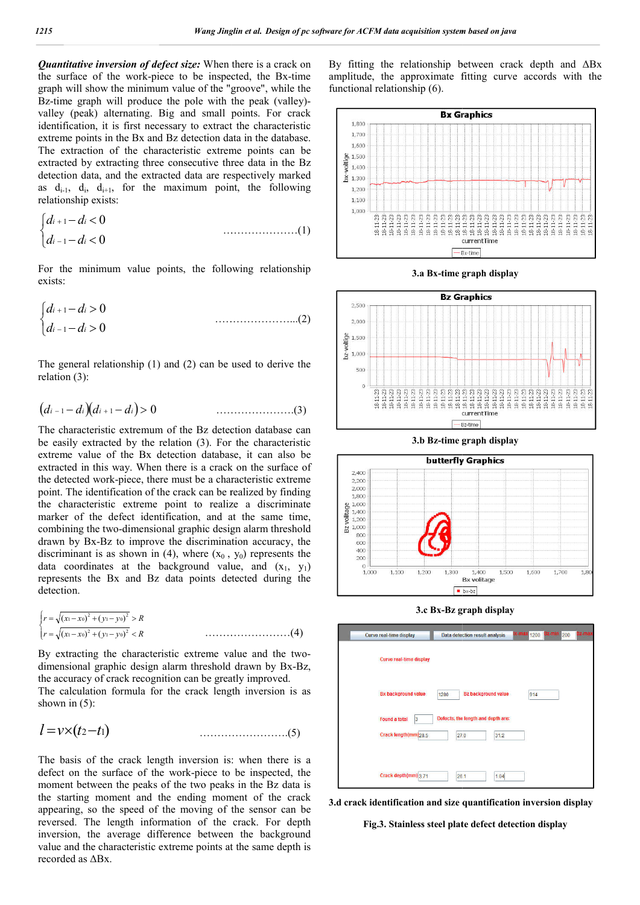*Quantitative inversion of defect size:* When there is a crack on the surface of the work-piece to be inspected, the Bx-time graph will show the minimum value of the "groove", while the Bz-time graph will produce the pole with the peak (valley)valley (peak) alternating. Big and small points. For crack identification, it is first necessary to extract the characteristic extreme points in the Bx and Bz detection data in the database. The extraction of the characteristic extreme points can be extracted by extracting three consecutive three data in the Bz detection data, and the extracted data are respectively marked as  $d_{i-1}$ ,  $d_i$ ,  $d_{i+1}$ , for the maximum point, the following relationship exists: nd , …………………(1)

$$
\begin{cases} d_{i+1} - d_i < 0 \\ d_{i-1} - d_i < 0 \end{cases} \tag{1}
$$

For the minimum value points, the following relationship exists:

$$
\begin{cases} d_{i+1} - d_i > 0 \\ d_{i-1} - d_i > 0 \end{cases}
$$
 (2)

The general relationship (1) and (2) can be used to derive the relation (3):

$$
(d_{i-1}-d_i)(d_{i+1}-d_i)>0
$$
 (3)

The characteristic extremum of the Bz detection database can be easily extracted by the relation (3). For the characteristic extreme value of the Bx detection database, it can also be extracted in this way. When there is a crack on the surface of the detected work-piece, there must be a characteristic extreme point. The identification of the crack can be realized by finding the characteristic extreme point to realize a discriminate marker of the defect identification, and at the same time, combining the two-dimensional graphic design alarm threshold drawn by Bx-Bz to improve the discrimination accuracy, the discriminant is as shown in (4), where  $(x_0, y_0)$  represents the data coordinates at the background value, and  $(x_1, y_1)$ represents the Bx and Bz data points detected during the detection. ork-piece, there must be a characteristic extreme<br>ntification of the crack can be realized by finding<br>stic extreme point to realize a discriminate<br>elect identification, and at the same time,<br>two-dimensional graphic design

$$
\begin{cases}\nr = \sqrt{(x_1 - x_0)^2 + (y_1 - y_0)^2} > R \\
r = \sqrt{(x_1 - x_0)^2 + (y_1 - y_0)^2} < R\n\end{cases}
$$
.................(4)

By extracting the characteristic extreme value and the twodimensional graphic design alarm threshold drawn by Bx Bx-Bz, the accuracy of crack recognition can be greatly improved. The calculation formula for the crack length inversion is as lculation …………………….(5) shown in (5):

$$
l = v \times (t_2 - t_1)
$$
 (5)

The basis of the crack length inversion is: when there is a defect on the surface of the work-piece to be inspected, the moment between the peaks of the two peaks in the Bz data is the starting moment and the ending moment of the crack appearing, so the speed of the moving of the sensor can be reversed. The length information of the crack. For depth inversion, the average difference between the background value and the characteristic extreme points at the same depth is recorded as ΔBx.

By fitting the relationship between crack depth and  $\Delta Bx$  amplitude, the approximate fitting curve accords with the functional relationship (6).



**3.a Bx-time graph display** 



3.b Bz-time graph display



**3.c Bx-Bz graph display**



**3.d crack identification and size quantification inversion display**

**Fig.3. Stainless steel plate defect detection display**